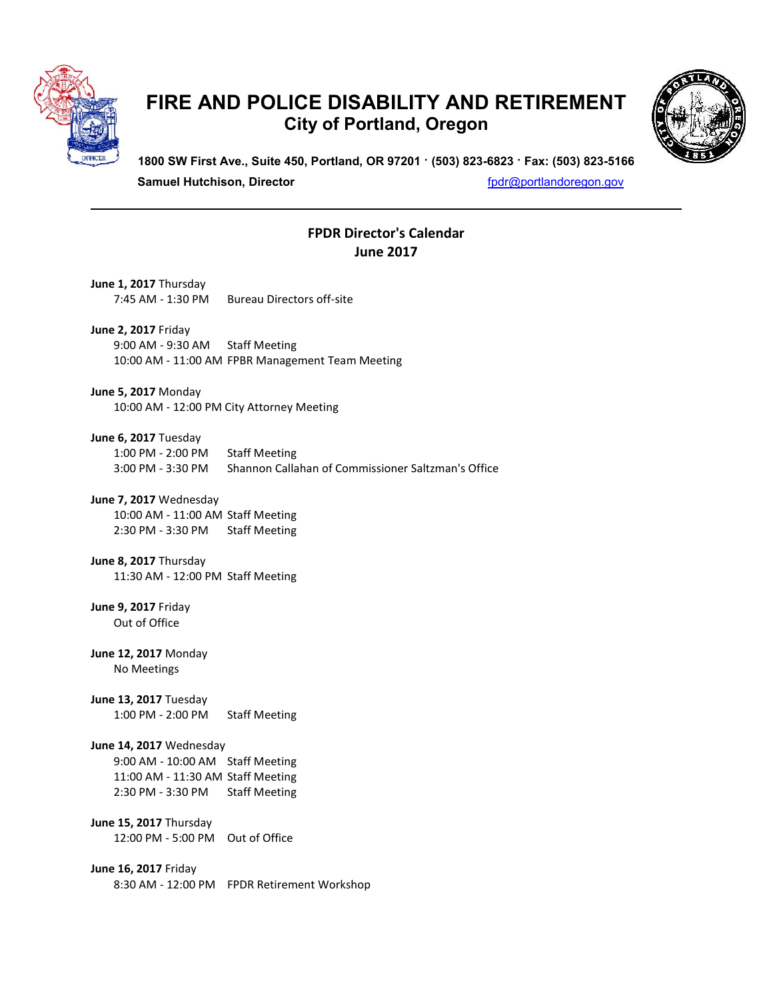

## **FIRE AND POLICE DISABILITY AND RETIREMENT City of Portland, Oregon**



**1800 SW First Ave., Suite 450, Portland, OR 97201 · (503) 823-6823 · Fax: (503) 823-5166**

**Samuel Hutchison, Director for a state of the state of the state of the state of the state of the state of the state of the state of the state of the state of the state of the state of the state of the state of the stat** 

## **FPDR Director's Calendar June 2017**

| June 1, 2017 Thursday                                                                                                 | 7:45 AM - 1:30 PM Bureau Directors off-site                                |
|-----------------------------------------------------------------------------------------------------------------------|----------------------------------------------------------------------------|
| <b>June 2, 2017 Friday</b><br>9:00 AM - 9:30 AM Staff Meeting                                                         | 10:00 AM - 11:00 AM FPBR Management Team Meeting                           |
| <b>June 5, 2017</b> Monday                                                                                            | 10:00 AM - 12:00 PM City Attorney Meeting                                  |
| June 6, 2017 Tuesday<br>1:00 PM - 2:00 PM<br>3:00 PM - 3:30 PM                                                        | <b>Staff Meeting</b><br>Shannon Callahan of Commissioner Saltzman's Office |
| June 7, 2017 Wednesday<br>10:00 AM - 11:00 AM Staff Meeting<br>2:30 PM - 3:30 PM                                      | <b>Staff Meeting</b>                                                       |
| June 8, 2017 Thursday<br>11:30 AM - 12:00 PM Staff Meeting                                                            |                                                                            |
| June 9, 2017 Friday<br>Out of Office                                                                                  |                                                                            |
| June 12, 2017 Monday<br>No Meetings                                                                                   |                                                                            |
| <b>June 13, 2017</b> Tuesday<br>1:00 PM - 2:00 PM Staff Meeting                                                       |                                                                            |
| June 14, 2017 Wednesday<br>9:00 AM - 10:00 AM Staff Meeting<br>11:00 AM - 11:30 AM Staff Meeting<br>2:30 PM - 3:30 PM | <b>Staff Meeting</b>                                                       |
| <b>June 15, 2017</b> Thursday<br>12:00 PM - 5:00 PM Out of Office                                                     |                                                                            |
| June 16, 2017 Friday                                                                                                  | 8:30 AM - 12:00 PM FPDR Retirement Workshop                                |
|                                                                                                                       |                                                                            |